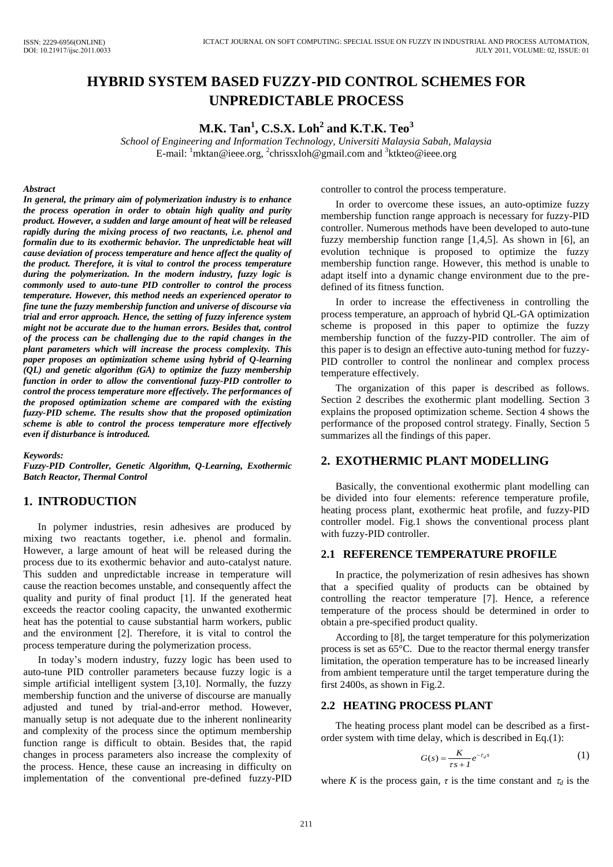# **HYBRID SYSTEM BASED FUZZY-PID CONTROL SCHEMES FOR UNPREDICTABLE PROCESS**

**M.K. Tan<sup>1</sup> , C.S.X. Loh<sup>2</sup> and K.T.K. Teo<sup>3</sup>**

*School of Engineering and Information Technology, Universiti Malaysia Sabah, Malaysia*  E-mail: <sup>1</sup>mktan@ieee.org, <sup>2</sup>chrissxloh@gmail.com and <sup>3</sup>ktkteo@ieee.org

#### *Abstract*

*In general, the primary aim of polymerization industry is to enhance the process operation in order to obtain high quality and purity product. However, a sudden and large amount of heat will be released rapidly during the mixing process of two reactants, i.e. phenol and formalin due to its exothermic behavior. The unpredictable heat will cause deviation of process temperature and hence affect the quality of the product. Therefore, it is vital to control the process temperature during the polymerization. In the modern industry, fuzzy logic is commonly used to auto-tune PID controller to control the process temperature. However, this method needs an experienced operator to fine tune the fuzzy membership function and universe of discourse via trial and error approach. Hence, the setting of fuzzy inference system might not be accurate due to the human errors. Besides that, control of the process can be challenging due to the rapid changes in the plant parameters which will increase the process complexity. This paper proposes an optimization scheme using hybrid of Q-learning (QL) and genetic algorithm (GA) to optimize the fuzzy membership function in order to allow the conventional fuzzy-PID controller to control the process temperature more effectively. The performances of the proposed optimization scheme are compared with the existing fuzzy-PID scheme. The results show that the proposed optimization scheme is able to control the process temperature more effectively even if disturbance is introduced.* 

*Keywords:* 

*Fuzzy-PID Controller, Genetic Algorithm, Q-Learning, Exothermic Batch Reactor, Thermal Control* 

## **1. INTRODUCTION**

In polymer industries, resin adhesives are produced by mixing two reactants together, i.e. phenol and formalin. However, a large amount of heat will be released during the process due to its exothermic behavior and auto-catalyst nature. This sudden and unpredictable increase in temperature will cause the reaction becomes unstable, and consequently affect the quality and purity of final product [1]. If the generated heat exceeds the reactor cooling capacity, the unwanted exothermic heat has the potential to cause substantial harm workers, public and the environment [2]. Therefore, it is vital to control the process temperature during the polymerization process.

In today's modern industry, fuzzy logic has been used to auto-tune PID controller parameters because fuzzy logic is a simple artificial intelligent system [3,10]. Normally, the fuzzy membership function and the universe of discourse are manually adjusted and tuned by trial-and-error method. However, manually setup is not adequate due to the inherent nonlinearity and complexity of the process since the optimum membership function range is difficult to obtain. Besides that, the rapid changes in process parameters also increase the complexity of the process. Hence, these cause an increasing in difficulty on implementation of the conventional pre-defined fuzzy-PID

controller to control the process temperature.

In order to overcome these issues, an auto-optimize fuzzy membership function range approach is necessary for fuzzy-PID controller. Numerous methods have been developed to auto-tune fuzzy membership function range [1,4,5]. As shown in [6], an evolution technique is proposed to optimize the fuzzy membership function range. However, this method is unable to adapt itself into a dynamic change environment due to the predefined of its fitness function.

In order to increase the effectiveness in controlling the process temperature, an approach of hybrid QL-GA optimization scheme is proposed in this paper to optimize the fuzzy membership function of the fuzzy-PID controller. The aim of this paper is to design an effective auto-tuning method for fuzzy-PID controller to control the nonlinear and complex process temperature effectively.

The organization of this paper is described as follows. Section 2 describes the exothermic plant modelling. Section 3 explains the proposed optimization scheme. Section 4 shows the performance of the proposed control strategy. Finally, Section 5 summarizes all the findings of this paper.

## **2. EXOTHERMIC PLANT MODELLING**

Basically, the conventional exothermic plant modelling can be divided into four elements: reference temperature profile, heating process plant, exothermic heat profile, and fuzzy-PID controller model. Fig.1 shows the conventional process plant with fuzzy-PID controller.

#### **2.1 REFERENCE TEMPERATURE PROFILE**

In practice, the polymerization of resin adhesives has shown that a specified quality of products can be obtained by controlling the reactor temperature [7]. Hence, a reference temperature of the process should be determined in order to obtain a pre-specified product quality.

According to [8], the target temperature for this polymerization process is set as 65°C. Due to the reactor thermal energy transfer limitation, the operation temperature has to be increased linearly from ambient temperature until the target temperature during the first 2400s, as shown in Fig.2.

## **2.2 HEATING PROCESS PLANT**

The heating process plant model can be described as a firstorder system with time delay, which is described in Eq.(1):

$$
G(s) = \frac{K}{\tau s + I} e^{-\tau_d s} \tag{1}
$$

where *K* is the process gain,  $\tau$  is the time constant and  $\tau_d$  is the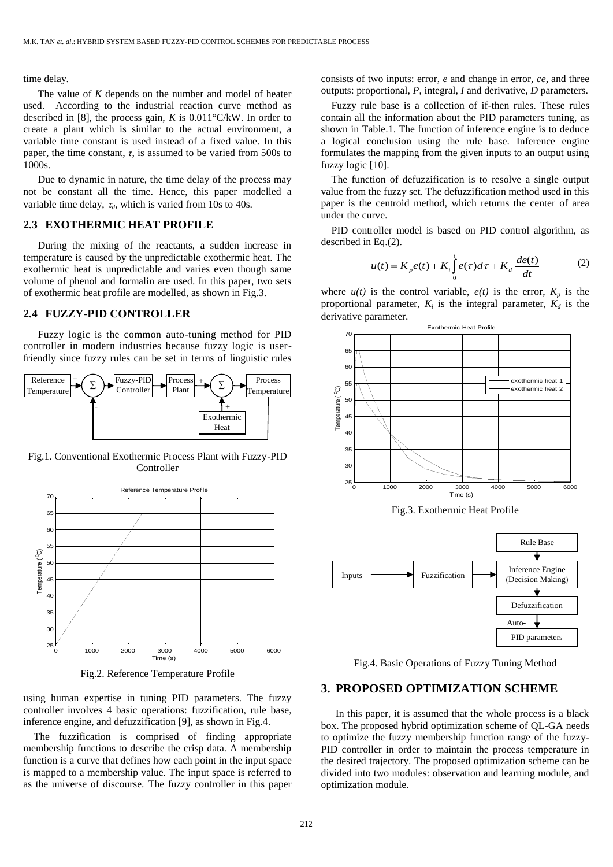time delay.

The value of *K* depends on the number and model of heater used. According to the industrial reaction curve method as described in [8], the process gain, *K* is 0.011°C/kW. In order to create a plant which is similar to the actual environment, a variable time constant is used instead of a fixed value. In this paper, the time constant,  $\tau$ , is assumed to be varied from 500s to 1000s.

Due to dynamic in nature, the time delay of the process may not be constant all the time. Hence, this paper modelled a variable time delay,  $\tau_d$ , which is varied from 10s to 40s.

#### **2.3 EXOTHERMIC HEAT PROFILE**

During the mixing of the reactants, a sudden increase in temperature is caused by the unpredictable exothermic heat. The exothermic heat is unpredictable and varies even though same volume of phenol and formalin are used. In this paper, two sets of exothermic heat profile are modelled, as shown in Fig.3.

#### **2.4 FUZZY-PID CONTROLLER**

Fuzzy logic is the common auto-tuning method for PID controller in modern industries because fuzzy logic is userfriendly since fuzzy rules can be set in terms of linguistic rules



Fig.1. Conventional Exothermic Process Plant with Fuzzy-PID **Controller** 



Fig.2. Reference Temperature Profile

using human expertise in tuning PID parameters. The fuzzy controller involves 4 basic operations: fuzzification, rule base, inference engine, and defuzzification [9], as shown in Fig.4.

The fuzzification is comprised of finding appropriate membership functions to describe the crisp data. A membership function is a curve that defines how each point in the input space is mapped to a membership value. The input space is referred to as the universe of discourse. The fuzzy controller in this paper consists of two inputs: error, *e* and change in error, *ce*, and three outputs: proportional, *P*, integral, *I* and derivative, *D* parameters.

Fuzzy rule base is a collection of if-then rules. These rules contain all the information about the PID parameters tuning, as shown in Table.1. The function of inference engine is to deduce a logical conclusion using the rule base. Inference engine formulates the mapping from the given inputs to an output using fuzzy logic [10].

The function of defuzzification is to resolve a single output value from the fuzzy set. The defuzzification method used in this paper is the centroid method, which returns the center of area under the curve.

PID controller model is based on PID control algorithm, as described in Eq.(2).

$$
u(t) = K_{p}e(t) + K_{i} \int_{0}^{t} e(\tau)d\tau + K_{d} \frac{de(t)}{dt}
$$
 (2)

where  $u(t)$  is the control variable,  $e(t)$  is the error,  $K_p$  is the proportional parameter,  $K_i$  is the integral parameter,  $K_d$  is the derivative parameter.



Fig.3. Exothermic Heat Profile



Fig.4. Basic Operations of Fuzzy Tuning Method

## **3. PROPOSED OPTIMIZATION SCHEME**

In this paper, it is assumed that the whole process is a black box. The proposed hybrid optimization scheme of QL-GA needs to optimize the fuzzy membership function range of the fuzzy-PID controller in order to maintain the process temperature in the desired trajectory. The proposed optimization scheme can be divided into two modules: observation and learning module, and optimization module.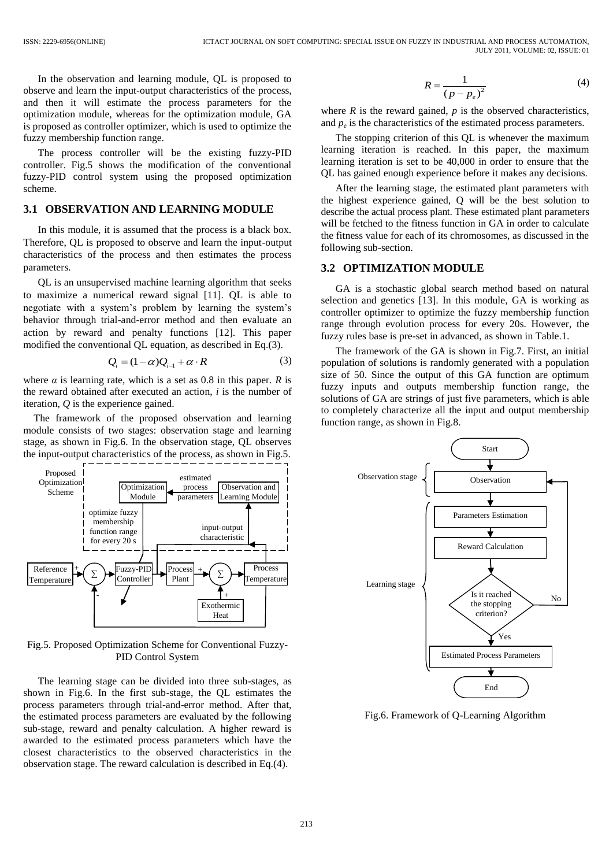In the observation and learning module, QL is proposed to observe and learn the input-output characteristics of the process, and then it will estimate the process parameters for the optimization module, whereas for the optimization module, GA is proposed as controller optimizer, which is used to optimize the fuzzy membership function range.

The process controller will be the existing fuzzy-PID controller. Fig.5 shows the modification of the conventional fuzzy-PID control system using the proposed optimization scheme.

## **3.1 OBSERVATION AND LEARNING MODULE**

In this module, it is assumed that the process is a black box. Therefore, QL is proposed to observe and learn the input-output characteristics of the process and then estimates the process parameters.

QL is an unsupervised machine learning algorithm that seeks to maximize a numerical reward signal [11]. QL is able to negotiate with a system's problem by learning the system's behavior through trial-and-error method and then evaluate an action by reward and penalty functions [12]. This paper modified the conventional QL equation, as described in Eq.(3).

$$
Q_i = (1 - \alpha)Q_{i-1} + \alpha \cdot R \tag{3}
$$

where  $\alpha$  is learning rate, which is a set as 0.8 in this paper.  $R$  is the reward obtained after executed an action, *i* is the number of iteration, *Q* is the experience gained.

The framework of the proposed observation and learning module consists of two stages: observation stage and learning stage, as shown in Fig.6. In the observation stage, QL observes the input-output characteristics of the process, as shown in Fig.5.



Fig.5. Proposed Optimization Scheme for Conventional Fuzzy-PID Control System

The learning stage can be divided into three sub-stages, as shown in Fig.6. In the first sub-stage, the QL estimates the process parameters through trial-and-error method. After that, the estimated process parameters are evaluated by the following sub-stage, reward and penalty calculation. A higher reward is awarded to the estimated process parameters which have the closest characteristics to the observed characteristics in the observation stage. The reward calculation is described in Eq.(4).

$$
R = \frac{1}{\left(p - p_e\right)^2} \tag{4}
$$

where  $R$  is the reward gained,  $p$  is the observed characteristics, and  $p_e$  is the characteristics of the estimated process parameters.

The stopping criterion of this QL is whenever the maximum learning iteration is reached. In this paper, the maximum learning iteration is set to be 40,000 in order to ensure that the QL has gained enough experience before it makes any decisions.

After the learning stage, the estimated plant parameters with the highest experience gained, Q will be the best solution to describe the actual process plant. These estimated plant parameters will be fetched to the fitness function in GA in order to calculate the fitness value for each of its chromosomes, as discussed in the following sub-section.

### **3.2 OPTIMIZATION MODULE**

GA is a stochastic global search method based on natural selection and genetics [13]. In this module, GA is working as controller optimizer to optimize the fuzzy membership function range through evolution process for every 20s. However, the fuzzy rules base is pre-set in advanced, as shown in Table.1.

The framework of the GA is shown in Fig.7. First, an initial population of solutions is randomly generated with a population size of 50. Since the output of this GA function are optimum fuzzy inputs and outputs membership function range, the solutions of GA are strings of just five parameters, which is able to completely characterize all the input and output membership function range, as shown in Fig.8.



Fig.6. Framework of Q-Learning Algorithm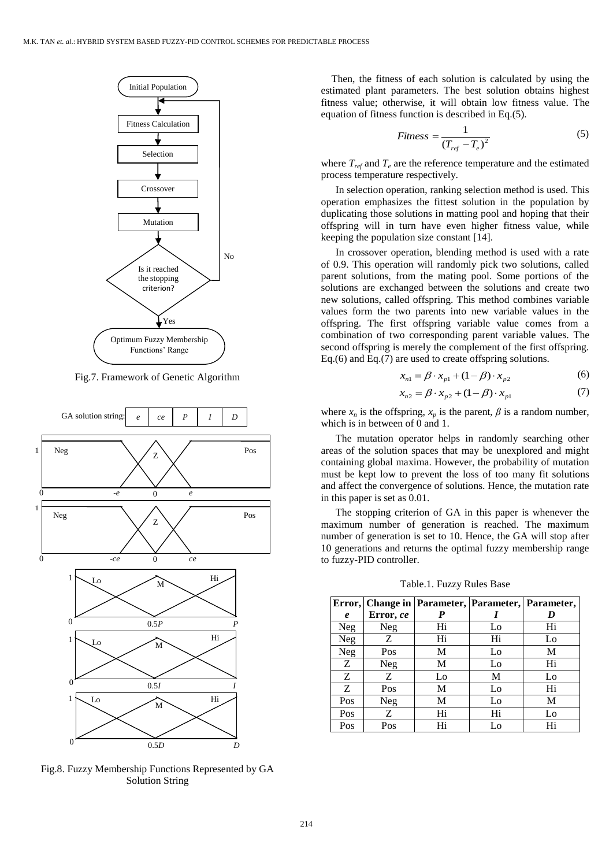

Fig.7. Framework of Genetic Algorithm



Fig.8. Fuzzy Membership Functions Represented by GA Solution String

Then, the fitness of each solution is calculated by using the estimated plant parameters. The best solution obtains highest fitness value; otherwise, it will obtain low fitness value. The equation of fitness function is described in Eq.(5).

$$
Fitness = \frac{1}{(T_{ref} - T_e)^2}
$$
 (5)

where  $T_{ref}$  and  $T_e$  are the reference temperature and the estimated process temperature respectively.

In selection operation, ranking selection method is used. This operation emphasizes the fittest solution in the population by duplicating those solutions in matting pool and hoping that their offspring will in turn have even higher fitness value, while keeping the population size constant [14].

In crossover operation, blending method is used with a rate of 0.9. This operation will randomly pick two solutions, called parent solutions, from the mating pool. Some portions of the solutions are exchanged between the solutions and create two new solutions, called offspring. This method combines variable values form the two parents into new variable values in the offspring. The first offspring variable value comes from a combination of two corresponding parent variable values. The second offspring is merely the complement of the first offspring. Eq.(6) and Eq.(7) are used to create offspring solutions.

$$
x_{n1} = \beta \cdot x_{p1} + (1 - \beta) \cdot x_{p2} \tag{6}
$$

$$
x_{n2} = \beta \cdot x_{p2} + (1 - \beta) \cdot x_{p1}
$$
 (7)

where  $x_n$  is the offspring,  $x_p$  is the parent,  $\beta$  is a random number, which is in between of 0 and 1.

The mutation operator helps in randomly searching other areas of the solution spaces that may be unexplored and might containing global maxima. However, the probability of mutation must be kept low to prevent the loss of too many fit solutions and affect the convergence of solutions. Hence, the mutation rate in this paper is set as 0.01.

The stopping criterion of GA in this paper is whenever the maximum number of generation is reached. The maximum number of generation is set to 10. Hence, the GA will stop after 10 generations and returns the optimal fuzzy membership range to fuzzy-PID controller.

Table.1. Fuzzy Rules Base

|                  |           |    |    | Error, Change in Parameter, Parameter, Parameter, |
|------------------|-----------|----|----|---------------------------------------------------|
| $\boldsymbol{e}$ | Error, ce |    |    | D                                                 |
| <b>Neg</b>       | Neg       | Hi | Lo | Hi                                                |
| <b>Neg</b>       | Z         | Hi | Hi | Lo                                                |
| Neg              | Pos       | M  | Lo | M                                                 |
| Z                | Neg       | М  | Lo | Hi                                                |
| Z                | Z         | Lo | M  | Lo                                                |
| Z                | Pos       | М  | Lo | Hi                                                |
| Pos              | Neg       | М  | Lo | М                                                 |
| Pos              | Ζ         | Hi | Hi | Lo                                                |
| Pos              | Pos       | Hi | Lo | Hi                                                |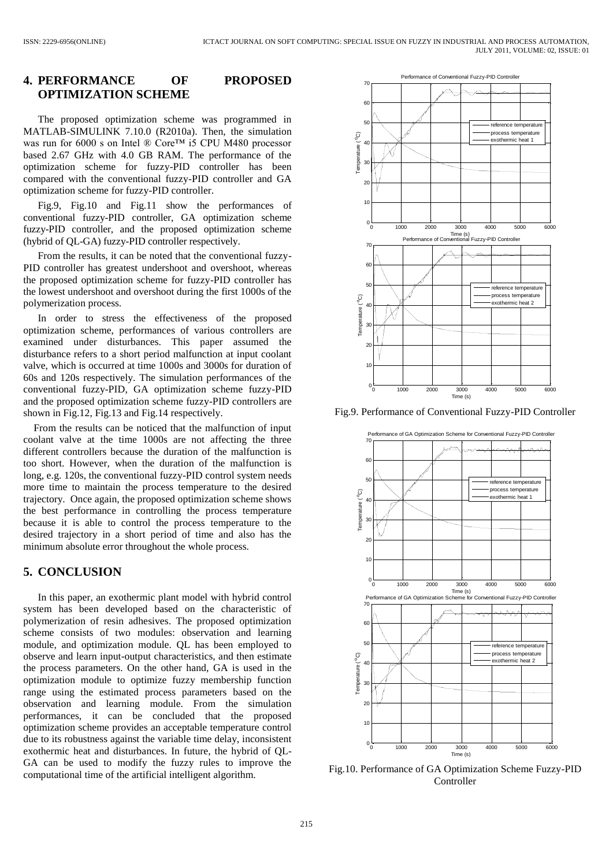## **4. PERFORMANCE OF PROPOSED OPTIMIZATION SCHEME**

The proposed optimization scheme was programmed in MATLAB-SIMULINK 7.10.0 (R2010a). Then, the simulation was run for 6000 s on Intel ® Core™ i5 CPU M480 processor based 2.67 GHz with 4.0 GB RAM. The performance of the optimization scheme for fuzzy-PID controller has been compared with the conventional fuzzy-PID controller and GA optimization scheme for fuzzy-PID controller.

Fig.9, Fig.10 and Fig.11 show the performances of conventional fuzzy-PID controller, GA optimization scheme fuzzy-PID controller, and the proposed optimization scheme (hybrid of QL-GA) fuzzy-PID controller respectively.

From the results, it can be noted that the conventional fuzzy-PID controller has greatest undershoot and overshoot, whereas the proposed optimization scheme for fuzzy-PID controller has the lowest undershoot and overshoot during the first 1000s of the polymerization process.

In order to stress the effectiveness of the proposed optimization scheme, performances of various controllers are examined under disturbances. This paper assumed the disturbance refers to a short period malfunction at input coolant valve, which is occurred at time 1000s and 3000s for duration of 60s and 120s respectively. The simulation performances of the conventional fuzzy-PID, GA optimization scheme fuzzy-PID and the proposed optimization scheme fuzzy-PID controllers are shown in Fig.12, Fig.13 and Fig.14 respectively.

From the results can be noticed that the malfunction of input coolant valve at the time 1000s are not affecting the three different controllers because the duration of the malfunction is too short. However, when the duration of the malfunction is long, e.g. 120s, the conventional fuzzy-PID control system needs more time to maintain the process temperature to the desired trajectory. Once again, the proposed optimization scheme shows the best performance in controlling the process temperature because it is able to control the process temperature to the desired trajectory in a short period of time and also has the minimum absolute error throughout the whole process.

## **5. CONCLUSION**

In this paper, an exothermic plant model with hybrid control system has been developed based on the characteristic of polymerization of resin adhesives. The proposed optimization scheme consists of two modules: observation and learning module, and optimization module. QL has been employed to observe and learn input-output characteristics, and then estimate the process parameters. On the other hand, GA is used in the optimization module to optimize fuzzy membership function range using the estimated process parameters based on the observation and learning module. From the simulation performances, it can be concluded that the proposed optimization scheme provides an acceptable temperature control due to its robustness against the variable time delay, inconsistent exothermic heat and disturbances. In future, the hybrid of QL-GA can be used to modify the fuzzy rules to improve the computational time of the artificial intelligent algorithm.



Fig.9. Performance of Conventional Fuzzy-PID Controller



Fig.10. Performance of GA Optimization Scheme Fuzzy-PID Controller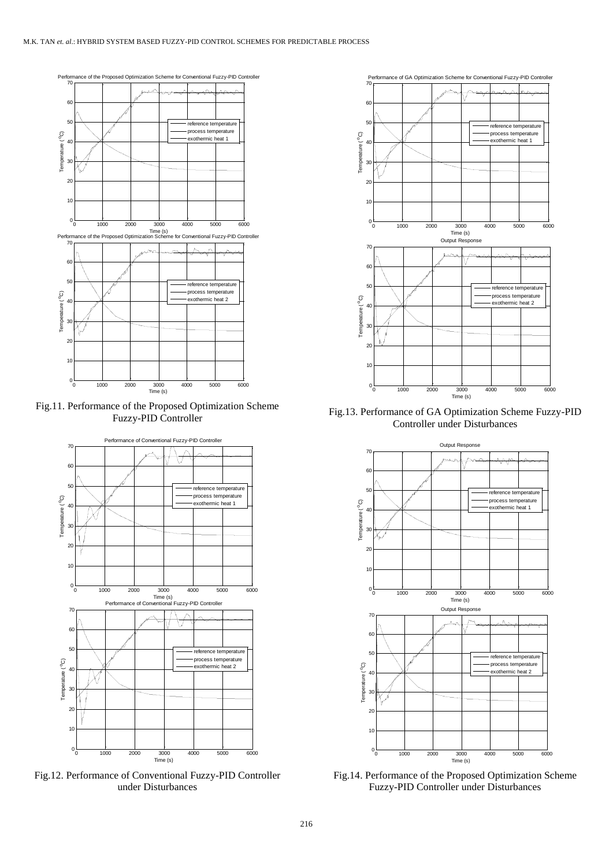

Fig.11. Performance of the Proposed Optimization Scheme Fuzzy-PID Controller



Fig.12. Performance of Conventional Fuzzy-PID Controller under Disturbances



Fig.13. Performance of GA Optimization Scheme Fuzzy-PID Controller under Disturbances



Fig.14. Performance of the Proposed Optimization Scheme Fuzzy-PID Controller under Disturbances